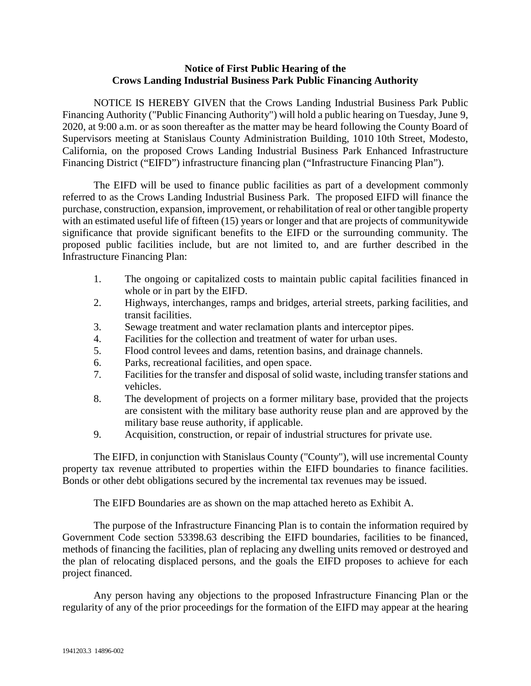## **Notice of First Public Hearing of the Crows Landing Industrial Business Park Public Financing Authority**

NOTICE IS HEREBY GIVEN that the Crows Landing Industrial Business Park Public Financing Authority ("Public Financing Authority") will hold a public hearing on Tuesday, June 9, 2020, at 9:00 a.m. or as soon thereafter as the matter may be heard following the County Board of Supervisors meeting at Stanislaus County Administration Building, 1010 10th Street, Modesto, California, on the proposed Crows Landing Industrial Business Park Enhanced Infrastructure Financing District ("EIFD") infrastructure financing plan ("Infrastructure Financing Plan").

The EIFD will be used to finance public facilities as part of a development commonly referred to as the Crows Landing Industrial Business Park. The proposed EIFD will finance the purchase, construction, expansion, improvement, or rehabilitation of real or other tangible property with an estimated useful life of fifteen (15) years or longer and that are projects of community wide significance that provide significant benefits to the EIFD or the surrounding community. The proposed public facilities include, but are not limited to, and are further described in the Infrastructure Financing Plan:

- 1. The ongoing or capitalized costs to maintain public capital facilities financed in whole or in part by the EIFD.
- 2. Highways, interchanges, ramps and bridges, arterial streets, parking facilities, and transit facilities.
- 3. Sewage treatment and water reclamation plants and interceptor pipes.
- 4. Facilities for the collection and treatment of water for urban uses.
- 5. Flood control levees and dams, retention basins, and drainage channels.
- 6. Parks, recreational facilities, and open space.
- 7. Facilities for the transfer and disposal of solid waste, including transfer stations and vehicles.
- 8. The development of projects on a former military base, provided that the projects are consistent with the military base authority reuse plan and are approved by the military base reuse authority, if applicable.
- 9. Acquisition, construction, or repair of industrial structures for private use.

The EIFD, in conjunction with Stanislaus County ("County"), will use incremental County property tax revenue attributed to properties within the EIFD boundaries to finance facilities. Bonds or other debt obligations secured by the incremental tax revenues may be issued.

The EIFD Boundaries are as shown on the map attached hereto as Exhibit A.

The purpose of the Infrastructure Financing Plan is to contain the information required by Government Code section 53398.63 describing the EIFD boundaries, facilities to be financed, methods of financing the facilities, plan of replacing any dwelling units removed or destroyed and the plan of relocating displaced persons, and the goals the EIFD proposes to achieve for each project financed.

Any person having any objections to the proposed Infrastructure Financing Plan or the regularity of any of the prior proceedings for the formation of the EIFD may appear at the hearing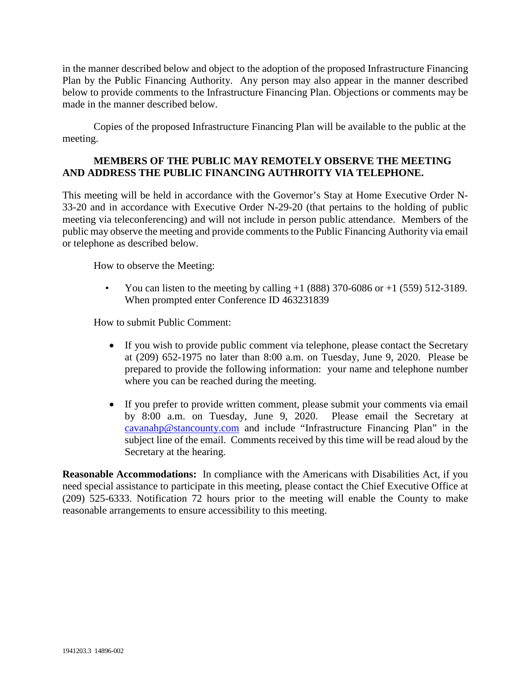in the manner described below and object to the adoption of the proposed Infrastructure Financing Plan by the Public Financing Authority. Any person may also appear in the manner described below to provide comments to the Infrastructure Financing Plan. Objections or comments may be made in the manner described below.

Copies of the proposed Infrastructure Financing Plan will be available to the public at the meeting.

## **MEMBERS OF THE PUBLIC MAY REMOTELY OBSERVE THE MEETING AND ADDRESS THE PUBLIC FINANCING AUTHROITY VIA TELEPHONE.**

This meeting will be held in accordance with the Governor's Stay at Home Executive Order N-33-20 and in accordance with Executive Order N-29-20 (that pertains to the holding of public meeting via teleconferencing) and will not include in person public attendance. Members of the public may observe the meeting and provide comments to the Public Financing Authority via email or telephone as described below.

How to observe the Meeting:

You can listen to the meeting by calling  $+1$  (888) 370-6086 or  $+1$  (559) 512-3189. When prompted enter Conference ID 463231839

How to submit Public Comment:

- If you wish to provide public comment via telephone, please contact the Secretary at (209) 652-1975 no later than 8:00 a.m. on Tuesday, June 9, 2020. Please be prepared to provide the following information: your name and telephone number where you can be reached during the meeting.
- If you prefer to provide written comment, please submit your comments via email by 8:00 a.m. on Tuesday, June 9, 2020. Please email the Secretary at [cavanahp@stancounty.com](mailto:cavanahp@stancounty.com) and include "Infrastructure Financing Plan" in the subject line of the email. Comments received by this time will be read aloud by the Secretary at the hearing.

**Reasonable Accommodations:** In compliance with the Americans with Disabilities Act, if you need special assistance to participate in this meeting, please contact the Chief Executive Office at (209) 525-6333. Notification 72 hours prior to the meeting will enable the County to make reasonable arrangements to ensure accessibility to this meeting.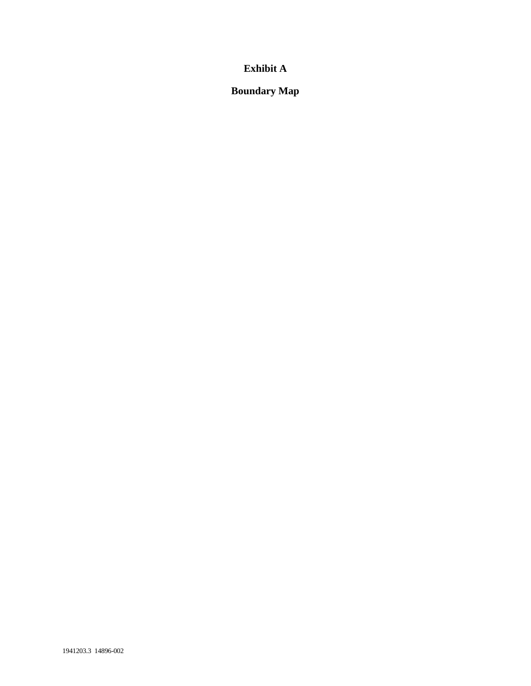## **Exhibit A**

**Boundary Map**